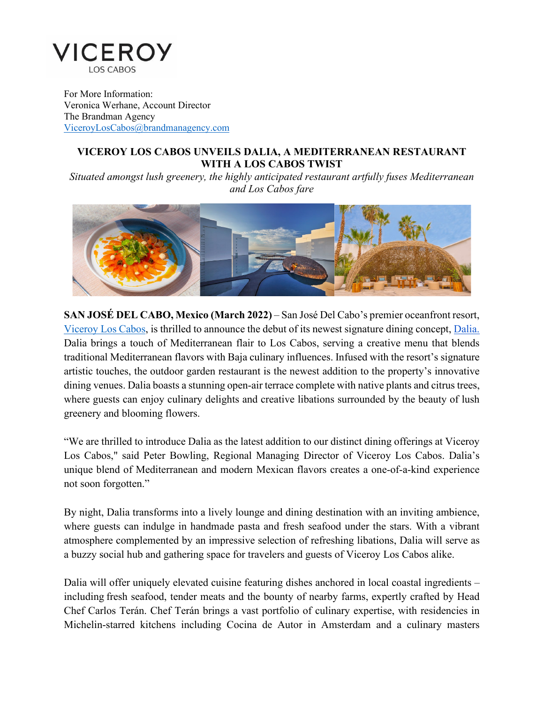

For More Information: Veronica Werhane, Account Director The Brandman Agency [ViceroyLosCabos@brandmanagency.com](mailto:ViceroyLosCabos@brandmanagency.com) 

## **VICEROY LOS CABOS UNVEILS DALIA, A MEDITERRANEAN RESTAURANT WITH A LOS CABOS TWIST**

 *and Los Cabos fare Situated amongst lush greenery, the highly anticipated restaurant artfully fuses Mediterranean* 



 artistic touches, the outdoor garden restaurant is the newest addition to the property's innovative **SAN JOSÉ DEL CABO, Mexico (March 2022)** – San José Del Cabo's premier oceanfront resort, [Viceroy Los Cabos,](https://www.viceroyhotelsandresorts.com/los-cabos) is thrilled to announce the debut of its newest signature dining concept, [Dalia.](https://dalialoscabos.com/)  Dalia brings a touch of Mediterranean flair to Los Cabos, serving a creative menu that blends traditional Mediterranean flavors with Baja culinary influences. Infused with the resort's signature dining venues. Dalia boasts a stunning open-air terrace complete with native plants and citrus trees, where guests can enjoy culinary delights and creative libations surrounded by the beauty of lush greenery and blooming flowers.

"We are thrilled to introduce Dalia as the latest addition to our distinct dining offerings at Viceroy Los Cabos," said Peter Bowling, Regional Managing Director of Viceroy Los Cabos. Dalia's unique blend of Mediterranean and modern Mexican flavors creates a one-of-a-kind experience not soon forgotten."

By night, Dalia transforms into a lively lounge and dining destination with an inviting ambience, where guests can indulge in handmade pasta and fresh seafood under the stars. With a vibrant atmosphere complemented by an impressive selection of refreshing libations, Dalia will serve as a buzzy social hub and gathering space for travelers and guests of Viceroy Los Cabos alike.

 including fresh seafood, tender meats and the bounty of nearby farms, expertly crafted by Head Dalia will offer uniquely elevated cuisine featuring dishes anchored in local coastal ingredients – Chef Carlos Terán. Chef Terán brings a vast portfolio of culinary expertise, with residencies in Michelin-starred kitchens including Cocina de Autor in Amsterdam and a culinary masters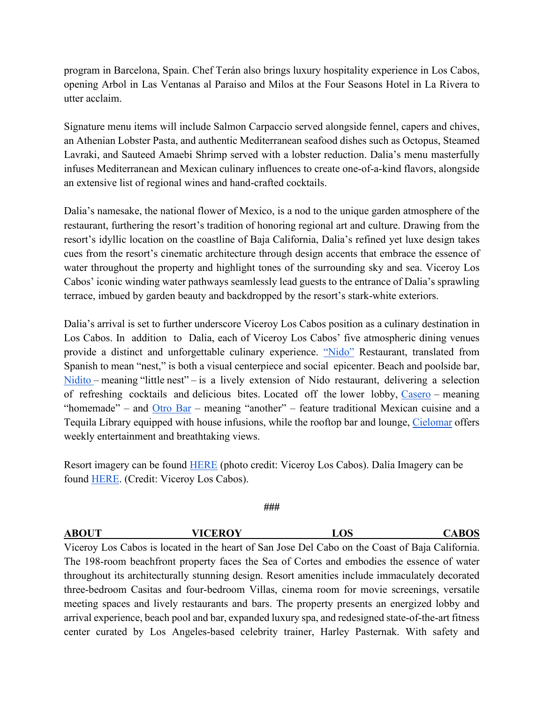opening Arbol in Las Ventanas al Paraiso and Milos at the Four Seasons Hotel in La Rivera to program in Barcelona, Spain. Chef Terán also brings luxury hospitality experience in Los Cabos, utter acclaim.

Signature menu items will include Salmon Carpaccio served alongside fennel, capers and chives, an Athenian Lobster Pasta, and authentic Mediterranean seafood dishes such as Octopus, Steamed Lavraki, and Sauteed Amaebi Shrimp served with a lobster reduction. Dalia's menu masterfully infuses Mediterranean and Mexican culinary influences to create one-of-a-kind flavors, alongside an extensive list of regional wines and hand-crafted cocktails.

 restaurant, furthering the resort's tradition of honoring regional art and culture. Drawing from the Cabos' iconic winding water pathways seamlessly lead guests to the entrance of Dalia's sprawling Dalia's namesake, the national flower of Mexico, is a nod to the unique garden atmosphere of the resort's idyllic location on the coastline of Baja California, Dalia's refined yet luxe design takes cues from the resort's cinematic architecture through design accents that embrace the essence of water throughout the property and highlight tones of the surrounding sky and sea. Viceroy Los terrace, imbued by garden beauty and backdropped by the resort's stark-white exteriors.

Los Cabos. In addition to Dalia, each of Viceroy Los Cabos' five atmospheric dining venues [Nidito –](https://www.viceroyhotelsandresorts.com/los-cabos/dining-nightlife/nidito-beach-poolside-bar) meaning "little nest" – is a lively extension of Nido restaurant, delivering a selection of refreshing cocktails and delicious bites. Located off the lower lobby, [Casero](https://www.viceroyhotelsandresorts.com/los-cabos/dining-nightlife/casero) – meaning Dalia's arrival is set to further underscore Viceroy Los Cabos position as a culinary destination in provide a distinct and unforgettable culinary experience. ["Nido"](https://www.viceroyhotelsandresorts.com/los-cabos/dining-nightlife/nido) Restaurant, translated from Spanish to mean "nest," is both a visual centerpiece and social epicenter. Beach and poolside bar, "homemade" – and  $Otro Bar$  – meaning "another" – feature traditional Mexican cuisine and a</u> Tequila Library equipped with house infusions, while the rooftop bar and lounge, [Cielomar](https://www.viceroyhotelsandresorts.com/los-cabos/dining-nightlife/cielomar-rooftop) offers weekly entertainment and breathtaking views.

Resort imagery can be found [HERE](https://thebrandmanagency.box.com/s/q9o4ytedc35ak03gmer3epbjl50ajxrn) (photo credit: Viceroy Los Cabos). Dalia Imagery can be found [HERE](https://thebrandmanagency.box.com/s/wre29dhqxzer2p880orxbdgpjcd7a064). (Credit: Viceroy Los Cabos).

## **###**

## **ABOUT VICEROY LOS CABOS**  Viceroy Los Cabos is located in the heart of San Jose Del Cabo on the Coast of Baja California.

 The 198-room beachfront property faces the Sea of Cortes and embodies the essence of water center curated by Los Angeles-based celebrity trainer, Harley Pasternak. With safety andthroughout its architecturally stunning design. Resort amenities include immaculately decorated three-bedroom Casitas and four-bedroom Villas, cinema room for movie screenings, versatile meeting spaces and lively restaurants and bars. The property presents an energized lobby and arrival experience, beach pool and bar, expanded luxury spa, and redesigned state-of-the-art fitness